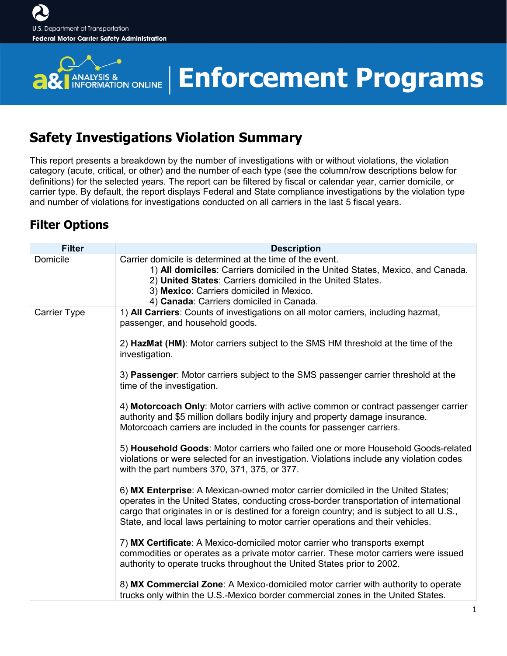

### **Enforcement Programs**

### **Safety Investigations Violation Summary**

This report presents a breakdown by the number of investigations with or without violations, the violation category (acute, critical, or other) and the number of each type (see the column/row descriptions below for definitions) for the selected years. The report can be filtered by fiscal or calendar year, carrier domicile, or carrier type. By default, the report displays Federal and State compliance investigations by the violation type and number of violations for investigations conducted on all carriers in the last 5 fiscal years.

#### **Filter Options**

| <b>Filter</b>       | <b>Description</b>                                                                                                                                                                                                                                                                                                                                          |
|---------------------|-------------------------------------------------------------------------------------------------------------------------------------------------------------------------------------------------------------------------------------------------------------------------------------------------------------------------------------------------------------|
| Domicile            | Carrier domicile is determined at the time of the event.<br>1) All domiciles: Carriers domiciled in the United States, Mexico, and Canada.<br>2) United States: Carriers domiciled in the United States.<br>3) Mexico: Carriers domiciled in Mexico.<br>4) Canada: Carriers domiciled in Canada.                                                            |
| <b>Carrier Type</b> | 1) All Carriers: Counts of investigations on all motor carriers, including hazmat,<br>passenger, and household goods.                                                                                                                                                                                                                                       |
|                     | 2) HazMat (HM): Motor carriers subject to the SMS HM threshold at the time of the<br>investigation.                                                                                                                                                                                                                                                         |
|                     | 3) Passenger: Motor carriers subject to the SMS passenger carrier threshold at the<br>time of the investigation.                                                                                                                                                                                                                                            |
|                     | 4) Motorcoach Only: Motor carriers with active common or contract passenger carrier<br>authority and \$5 million dollars bodily injury and property damage insurance.<br>Motorcoach carriers are included in the counts for passenger carriers.                                                                                                             |
|                     | 5) Household Goods: Motor carriers who failed one or more Household Goods-related<br>violations or were selected for an investigation. Violations include any violation codes<br>with the part numbers 370, 371, 375, or 377.                                                                                                                               |
|                     | 6) MX Enterprise: A Mexican-owned motor carrier domiciled in the United States;<br>operates in the United States, conducting cross-border transportation of international<br>cargo that originates in or is destined for a foreign country; and is subject to all U.S.,<br>State, and local laws pertaining to motor carrier operations and their vehicles. |
|                     | 7) MX Certificate: A Mexico-domiciled motor carrier who transports exempt<br>commodities or operates as a private motor carrier. These motor carriers were issued<br>authority to operate trucks throughout the United States prior to 2002.                                                                                                                |
|                     | 8) MX Commercial Zone: A Mexico-domiciled motor carrier with authority to operate<br>trucks only within the U.S.-Mexico border commercial zones in the United States.                                                                                                                                                                                       |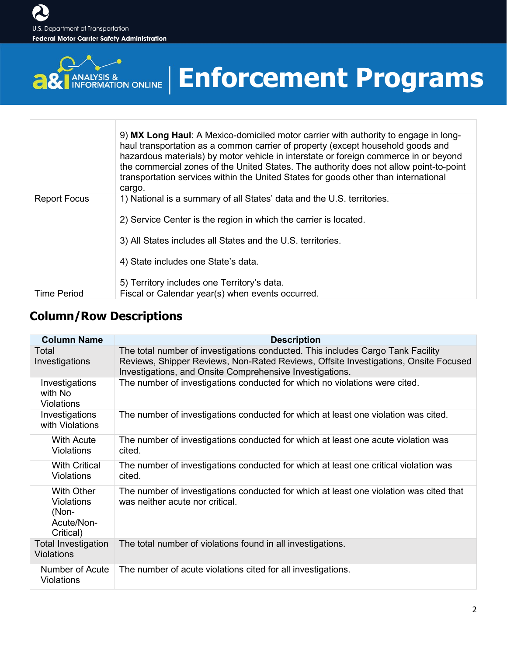

# **Enforcement Programs**

|                     | 9) MX Long Haul: A Mexico-domiciled motor carrier with authority to engage in long-<br>haul transportation as a common carrier of property (except household goods and<br>hazardous materials) by motor vehicle in interstate or foreign commerce in or beyond<br>the commercial zones of the United States. The authority does not allow point-to-point<br>transportation services within the United States for goods other than international<br>cargo. |
|---------------------|-----------------------------------------------------------------------------------------------------------------------------------------------------------------------------------------------------------------------------------------------------------------------------------------------------------------------------------------------------------------------------------------------------------------------------------------------------------|
| <b>Report Focus</b> | 1) National is a summary of all States' data and the U.S. territories.<br>2) Service Center is the region in which the carrier is located.                                                                                                                                                                                                                                                                                                                |
|                     | 3) All States includes all States and the U.S. territories.                                                                                                                                                                                                                                                                                                                                                                                               |
|                     | 4) State includes one State's data.                                                                                                                                                                                                                                                                                                                                                                                                                       |
|                     | 5) Territory includes one Territory's data.                                                                                                                                                                                                                                                                                                                                                                                                               |
| <b>Time Period</b>  | Fiscal or Calendar year(s) when events occurred.                                                                                                                                                                                                                                                                                                                                                                                                          |

#### **Column/Row Descriptions**

| <b>Column Name</b>                                                         | <b>Description</b>                                                                                                                                                                                                                 |
|----------------------------------------------------------------------------|------------------------------------------------------------------------------------------------------------------------------------------------------------------------------------------------------------------------------------|
| Total<br>Investigations                                                    | The total number of investigations conducted. This includes Cargo Tank Facility<br>Reviews, Shipper Reviews, Non-Rated Reviews, Offsite Investigations, Onsite Focused<br>Investigations, and Onsite Comprehensive Investigations. |
| Investigations<br>with No<br><b>Violations</b>                             | The number of investigations conducted for which no violations were cited.                                                                                                                                                         |
| Investigations<br>with Violations                                          | The number of investigations conducted for which at least one violation was cited.                                                                                                                                                 |
| <b>With Acute</b><br><b>Violations</b>                                     | The number of investigations conducted for which at least one acute violation was<br>cited.                                                                                                                                        |
| <b>With Critical</b><br><b>Violations</b>                                  | The number of investigations conducted for which at least one critical violation was<br>cited.                                                                                                                                     |
| <b>With Other</b><br><b>Violations</b><br>(Non-<br>Acute/Non-<br>Critical) | The number of investigations conducted for which at least one violation was cited that<br>was neither acute nor critical.                                                                                                          |
| <b>Total Investigation</b><br><b>Violations</b>                            | The total number of violations found in all investigations.                                                                                                                                                                        |
| Number of Acute<br><b>Violations</b>                                       | The number of acute violations cited for all investigations.                                                                                                                                                                       |